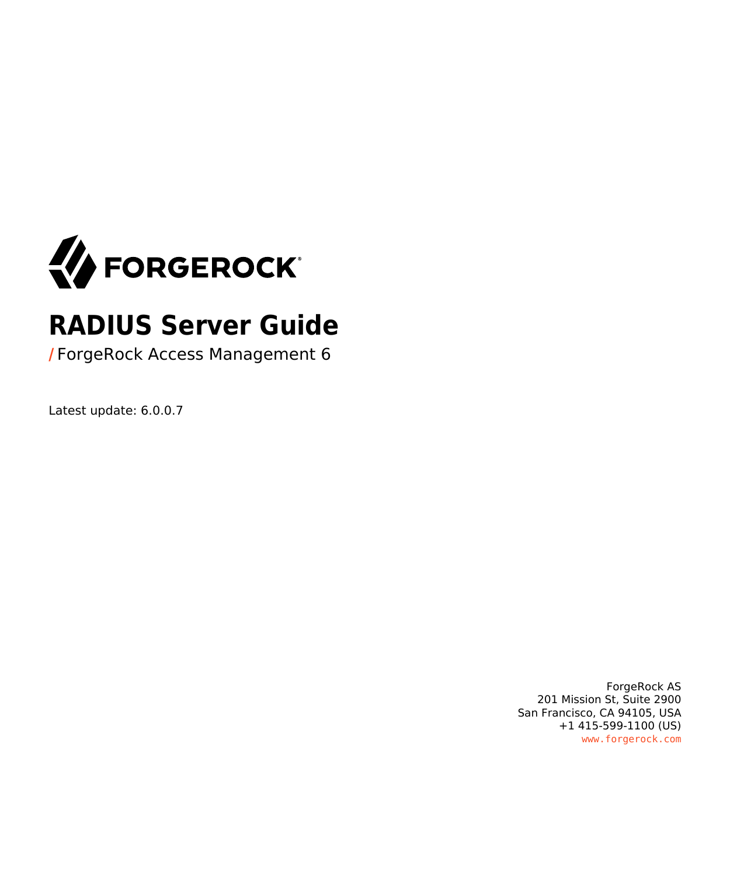

# **RADIUS Server Guide**

**/** ForgeRock Access Management 6

Latest update: 6.0.0.7

ForgeRock AS 201 Mission St, Suite 2900 San Francisco, CA 94105, USA +1 415-599-1100 (US) www.forgerock.com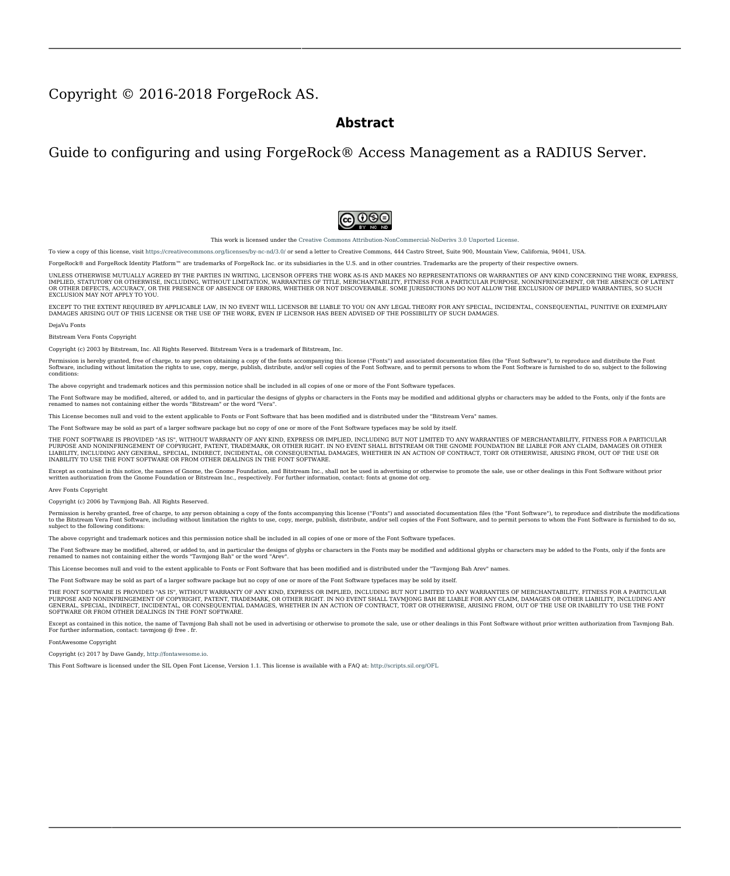#### Copyright © 2016-2018 ForgeRock AS.

#### **Abstract**

Guide to configuring and using ForgeRock® Access Management as a RADIUS Server.



This work is licensed under the Creative Commons Attribution-NonCommercial-NoDerivs 3.0 Unported Licens

To view a copy of this license, visit <https://creativecommons.org/licenses/by-nc-nd/3.0/> or send a letter to Creative Commons, 444 Castro Street, Suite 900, Mountain View, California, 94041, USA.

ForgeRock® and ForgeRock Identity Platform™ are trademarks of ForgeRock Inc. or its subsidiaries in the U.S. and in other countries. Trademarks are the property of their respective owners.

UNLESS OTHERWISE MUTUALLY AGREED BY THE PARTIES IN WRITING, LICENSOR OFFERS THE WORK AS-IS AND MAKES NOTHERWISCOR WARRANTIES OF ANY KIND CONCERNING THE WORK, EXPRESS, THE WORK, EXPRESS, THE WORK, EXPRESS, THE WORK, AND MAK IMPLIED, STATUTORY OR OTHERWISE, INCLUDING, WITHOUT LIMITATION, WARRANTIES OF TITLE, MERCHANTABILITY, FITNESS FOR A PARTICULAR PURPOSE, NONINFRINGEMENT, OR THE ABSENCE OF LATENT<br>OR OTHER DEFECTS, ACCURACY, OR THE PRESENCE

EXCEPT TO THE EXTENT REQUIRED BY APPLICABLE LAW, IN NO EVENT WILL LICENSOR BE LIABLE TO YOU ON ANY LEGAL THEORY FOR ANY ISLOCKERT ALLOCATED TO THE STATE ON SERVENTIAL, PONCE OUR EXEMPLARY CONSEQUENTIAL, PONTIVE OR EXEMPLAR

DejaVu Fonts

Bitstream Vera Fonts Copyright

Copyright (c) 2003 by Bitstream, Inc. All Rights Reserved. Bitstream Vera is a trademark of Bitstream, Inc.

Permission is hereby granted, free of charge, to any person obtaining a copy of the fonts accompanying this license ("Fonts") and associated documentation files ("hent Font Software, including without instanded to do so, s conditions:

The above copyright and trademark notices and this permission notice shall be included in all copies of one or more of the Font Software typefaces.

The Font Software may be modified, altered, or added to, and in particular the designs of glyphs or characters in the Fonts may be modified and additional glyphs or characters may be added to the Fonts, only if the fonts a renamed to names not containing either the words "Bitstream" or the word "Vera".

This License becomes null and void to the extent applicable to Fonts or Font Software that has been modified and is distributed under the "Bitstream Vera" names.

The Font Software may be sold as part of a larger software package but no copy of one or more of the Font Software typefaces may be sold by itself.

THE FONT SOFTWARE IS PROVIDED "AS IS", WITHOUT WARRANTY OF ANY KNO. EXPRESS OR IMPLIED, MANUTHED TO ANY WARRANTES OF MERCHANTABILITY, FITNESS FOR A PARTICULARY INCOLLED THE SURFACT AND THE SURFACT AND NOT A THE SURFACT AND

Except as contained in this notice, the names of Gnome, the Gnome Foundation, and Bitstream Inc., shall not be used in advertising or otherwise to promote the sale, use or other dealings in this Font Software without prior

Arev Fonts Copyright

Copyright (c) 2006 by Tavmjong Bah. All Rights Reserved.

Permission is hereby granted, free of charge, to any person obtaining a copy of the fonts accompanying this license ("Fonts") and associated documentation files (the "Font Software"), to reproduce and distribute the modifi to the Bitstream Vera Font Software, including without limitation the rights to use, copy, merge, publish, distribute, and/or sell copies of the Font Software, and to permit persons to whom the Font Software is furnished t subject to the following conditions:

The above copyright and trademark notices and this permission notice shall be included in all copies of one or more of the Font Software typefaces.

The Font Software may be modified, altered, or added to, and in particular the designs of glyphs or characters in the Fonts may be modified and additional glyphs or characters may be added to the Fonts, only if the fonts a

This License becomes null and void to the extent applicable to Fonts or Font Software that has been modified and is distributed under the "Tavmjong Bah Arev" names.

The Font Software may be sold as part of a larger software package but no copy of one or more of the Font Software typefaces may be sold by itself.

THE FONT SOFTWARE IS PROVIDED "AS IS", WITHOUT WARRANTY OF ANY KIND, EXPRESS OR IMPLIED, INCLUDING BUT NOT LIMITED TO ANY WARRANTIES OF MERCHANTABILITY, FITNESS FOR A PARTICULAR PURPOSE AND NONINFRINGEMENT OF COPYRIGHT, TRADEMARK, OR OTHER RIGHT. IN NO EVENT SHAL TAVMJONG BAH BE LIABLE FOR ANY CLAM, DAMAGES OR OTHER LIABILITY, INCLUDING ANY MELL THE TOT THE USE OR INABILITY TO USE THE FONT<br>GENERAL SOFTWARE OR FROM OTHER DEALINGS IN THE FONT SOFTWARE.

Except as contained in this notice, the name of Taymjong Bah shall not be used in advertising or otherwise to promote the sale, use or other dealings in this Font Software without prior written authorization from Taymjong For further information, contact: tavmjong @ free . i

FontAwesome Copyright

Copyright (c) 2017 by Dave Gandy, [http://fontawesome.io.](http://fontawesome.io)

This Font Software is licensed under the SIL Open Font License, Version 1.1. This license is available with a FAQ at:<http://scripts.sil.org/OFL>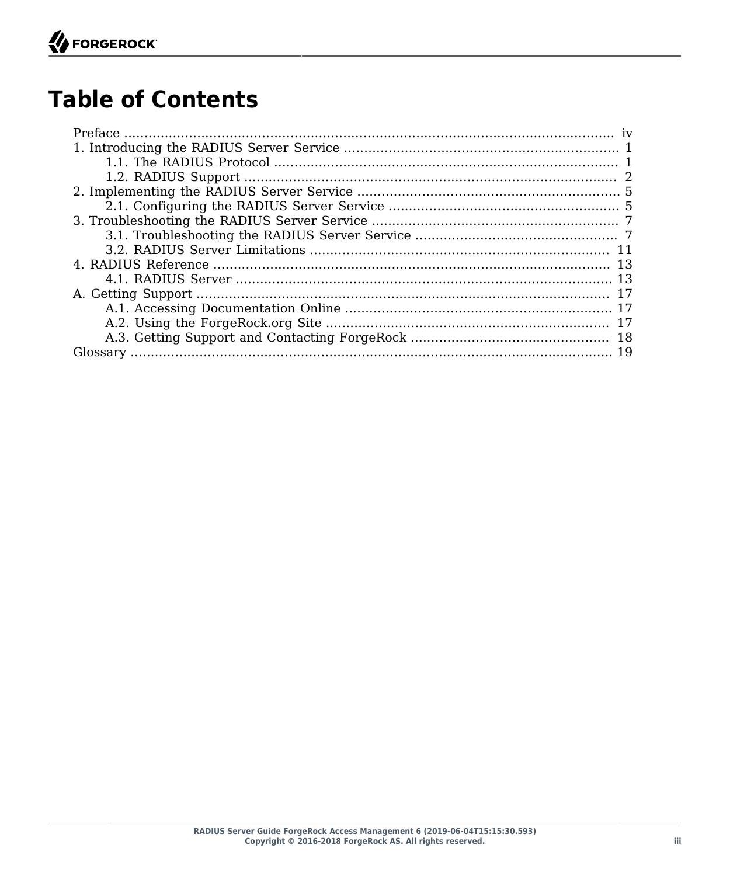# **Table of Contents**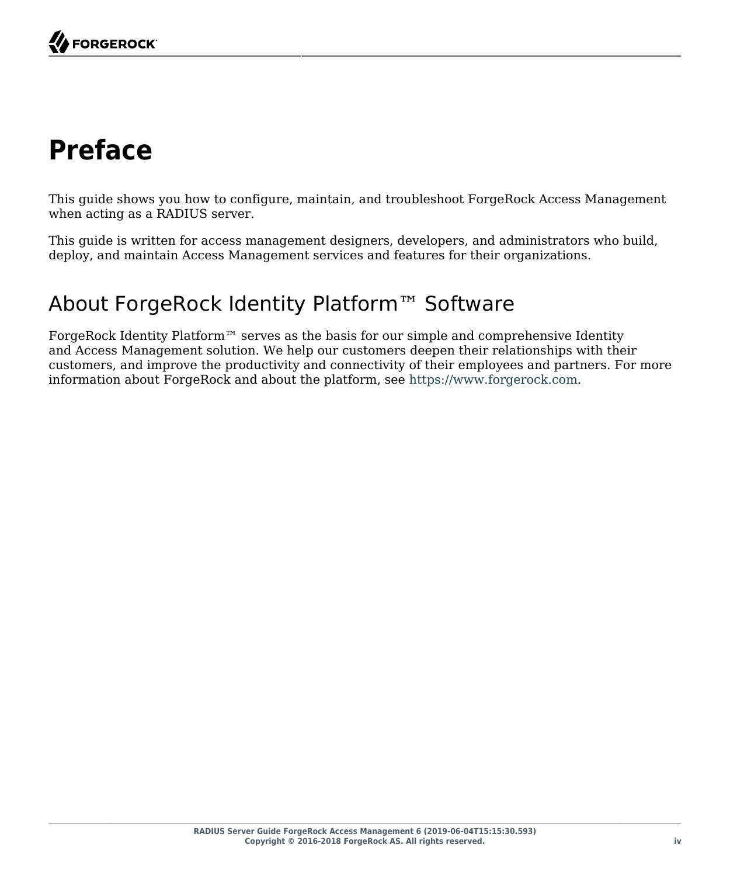# <span id="page-3-0"></span>**Preface**

This guide shows you how to configure, maintain, and troubleshoot ForgeRock Access Management when acting as a RADIUS server.

This guide is written for access management designers, developers, and administrators who build, deploy, and maintain Access Management services and features for their organizations.

### About ForgeRock Identity Platform™ Software

ForgeRock Identity Platform™ serves as the basis for our simple and comprehensive Identity and Access Management solution. We help our customers deepen their relationships with their customers, and improve the productivity and connectivity of their employees and partners. For more information about ForgeRock and about the platform, see <https://www.forgerock.com>.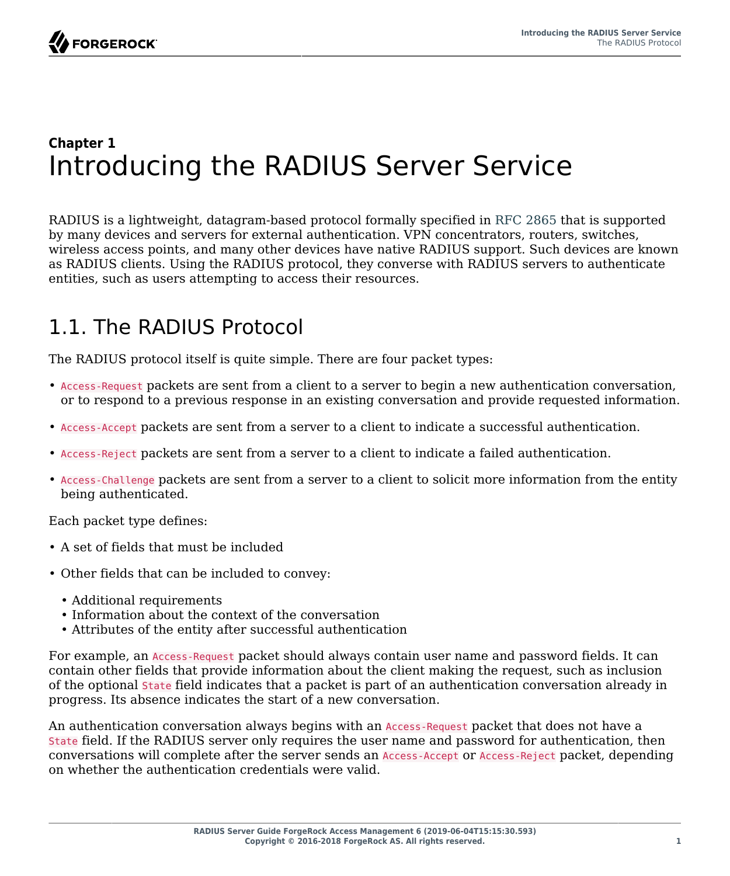### <span id="page-4-0"></span>**Chapter 1** Introducing the RADIUS Server Service

RADIUS is a lightweight, datagram-based protocol formally specified in [RFC 2865](https://tools.ietf.org/html/rfc2865) that is supported by many devices and servers for external authentication. VPN concentrators, routers, switches, wireless access points, and many other devices have native RADIUS support. Such devices are known as RADIUS clients. Using the RADIUS protocol, they converse with RADIUS servers to authenticate entities, such as users attempting to access their resources.

# <span id="page-4-1"></span>1.1. The RADIUS Protocol

The RADIUS protocol itself is quite simple. There are four packet types:

- Access-Request packets are sent from a client to a server to begin a new authentication conversation, or to respond to a previous response in an existing conversation and provide requested information.
- Access-Accept packets are sent from a server to a client to indicate a successful authentication.
- Access-Reject packets are sent from a server to a client to indicate a failed authentication.
- Access-Challenge packets are sent from a server to a client to solicit more information from the entity being authenticated.

Each packet type defines:

- A set of fields that must be included
- Other fields that can be included to convey:
	- Additional requirements
	- Information about the context of the conversation
	- Attributes of the entity after successful authentication

For example, an Access-Request packet should always contain user name and password fields. It can contain other fields that provide information about the client making the request, such as inclusion of the optional State field indicates that a packet is part of an authentication conversation already in progress. Its absence indicates the start of a new conversation.

An authentication conversation always begins with an Access-Request packet that does not have a State field. If the RADIUS server only requires the user name and password for authentication, then conversations will complete after the server sends an Access-Accept or Access-Reject packet, depending on whether the authentication credentials were valid.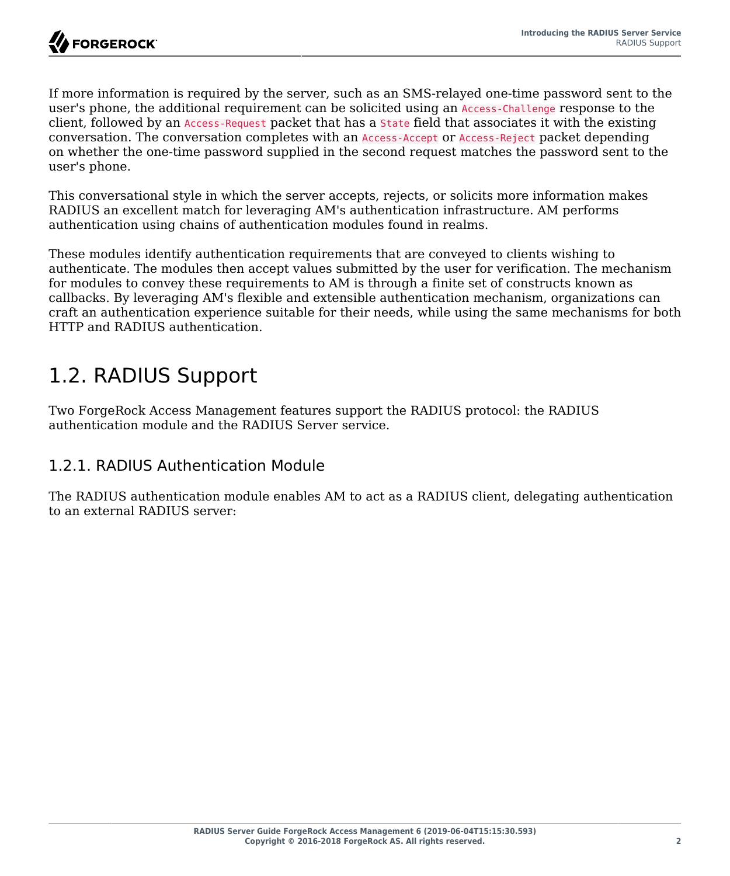If more information is required by the server, such as an SMS-relayed one-time password sent to the user's phone, the additional requirement can be solicited using an Access-Challenge response to the client, followed by an Access-Request packet that has a State field that associates it with the existing conversation. The conversation completes with an Access-Accept or Access-Reject packet depending on whether the one-time password supplied in the second request matches the password sent to the user's phone.

This conversational style in which the server accepts, rejects, or solicits more information makes RADIUS an excellent match for leveraging AM's authentication infrastructure. AM performs authentication using chains of authentication modules found in realms.

These modules identify authentication requirements that are conveyed to clients wishing to authenticate. The modules then accept values submitted by the user for verification. The mechanism for modules to convey these requirements to AM is through a finite set of constructs known as callbacks. By leveraging AM's flexible and extensible authentication mechanism, organizations can craft an authentication experience suitable for their needs, while using the same mechanisms for both HTTP and RADIUS authentication.

### <span id="page-5-0"></span>1.2. RADIUS Support

Two ForgeRock Access Management features support the RADIUS protocol: the RADIUS authentication module and the RADIUS Server service.

### 1.2.1. RADIUS Authentication Module

The RADIUS authentication module enables AM to act as a RADIUS client, delegating authentication to an external RADIUS server: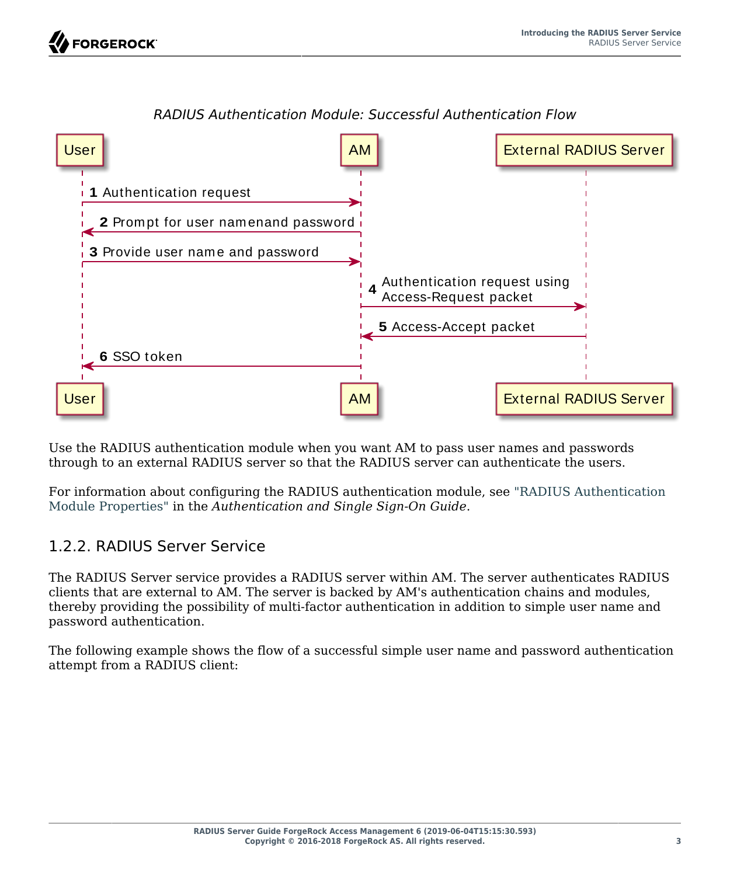

### *RADIUS Authentication Module: Successful Authentication Flow*

Use the RADIUS authentication module when you want AM to pass user names and passwords through to an external RADIUS server so that the RADIUS server can authenticate the users.

For information about configuring the RADIUS authentication module, see "RADIUS Authentication Module Properties" in the *Authentication and Single Sign-On Guide*.

### 1.2.2. RADIUS Server Service

The RADIUS Server service provides a RADIUS server within AM. The server authenticates RADIUS clients that are external to AM. The server is backed by AM's authentication chains and modules, thereby providing the possibility of multi-factor authentication in addition to simple user name and password authentication.

The following example shows the flow of a successful simple user name and password authentication attempt from a RADIUS client: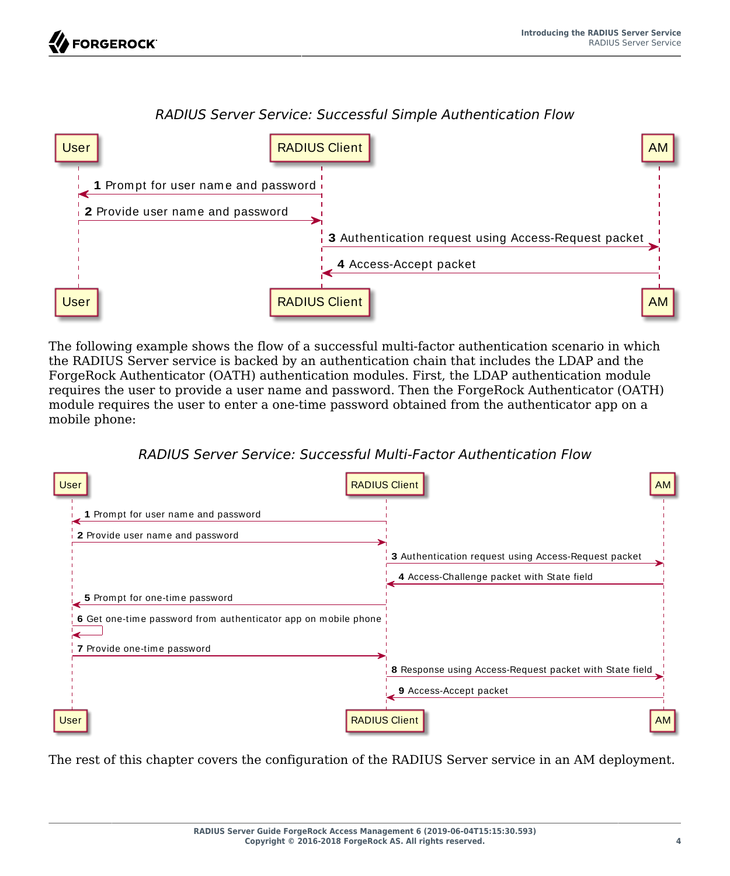

*RADIUS Server Service: Successful Simple Authentication Flow*

The following example shows the flow of a successful multi-factor authentication scenario in which the RADIUS Server service is backed by an authentication chain that includes the LDAP and the ForgeRock Authenticator (OATH) authentication modules. First, the LDAP authentication module requires the user to provide a user name and password. Then the ForgeRock Authenticator (OATH) module requires the user to enter a one-time password obtained from the authenticator app on a mobile phone:

*RADIUS Server Service: Successful Multi-Factor Authentication Flow*



The rest of this chapter covers the configuration of the RADIUS Server service in an AM deployment.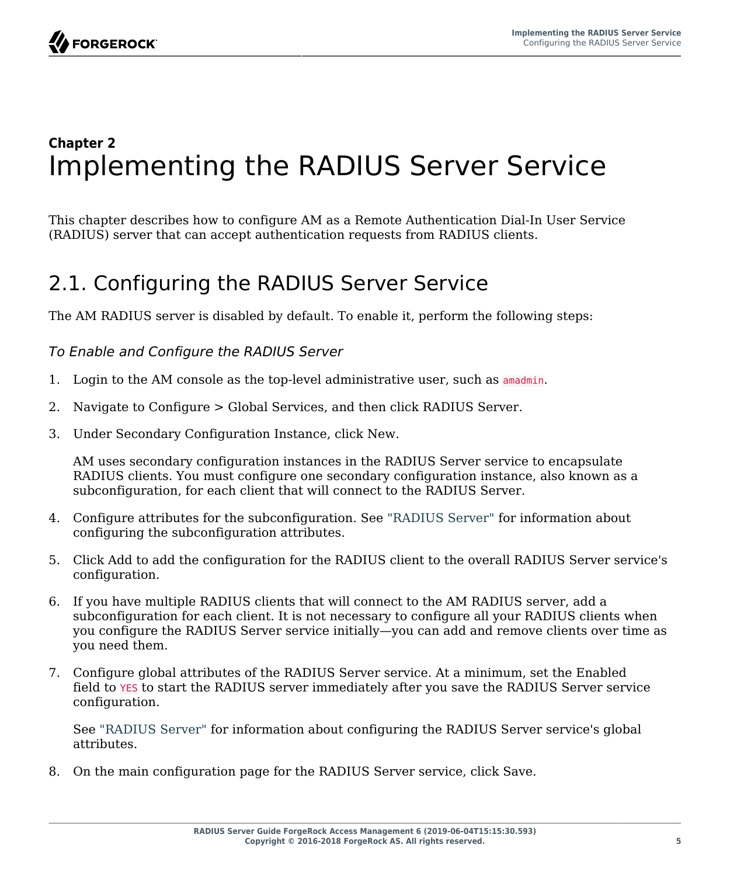# <span id="page-8-0"></span>**Chapter 2** Implementing the RADIUS Server Service

This chapter describes how to configure AM as a Remote Authentication Dial-In User Service (RADIUS) server that can accept authentication requests from RADIUS clients.

# <span id="page-8-1"></span>2.1. Configuring the RADIUS Server Service

The AM RADIUS server is disabled by default. To enable it, perform the following steps:

### *To Enable and Configure the RADIUS Server*

- 1. Login to the AM console as the top-level administrative user, such as amadmin.
- 2. Navigate to Configure > Global Services, and then click RADIUS Server.
- 3. Under Secondary Configuration Instance, click New.

AM uses secondary configuration instances in the RADIUS Server service to encapsulate RADIUS clients. You must configure one secondary configuration instance, also known as a subconfiguration, for each client that will connect to the RADIUS Server.

- 4. Configure attributes for the subconfiguration. See ["RADIUS Server"](#page-16-1) for information about configuring the subconfiguration attributes.
- 5. Click Add to add the configuration for the RADIUS client to the overall RADIUS Server service's configuration.
- 6. If you have multiple RADIUS clients that will connect to the AM RADIUS server, add a subconfiguration for each client. It is not necessary to configure all your RADIUS clients when you configure the RADIUS Server service initially—you can add and remove clients over time as you need them.
- 7. Configure global attributes of the RADIUS Server service. At a minimum, set the Enabled field to YES to start the RADIUS server immediately after you save the RADIUS Server service configuration.

See ["RADIUS Server"](#page-16-1) for information about configuring the RADIUS Server service's global attributes.

8. On the main configuration page for the RADIUS Server service, click Save.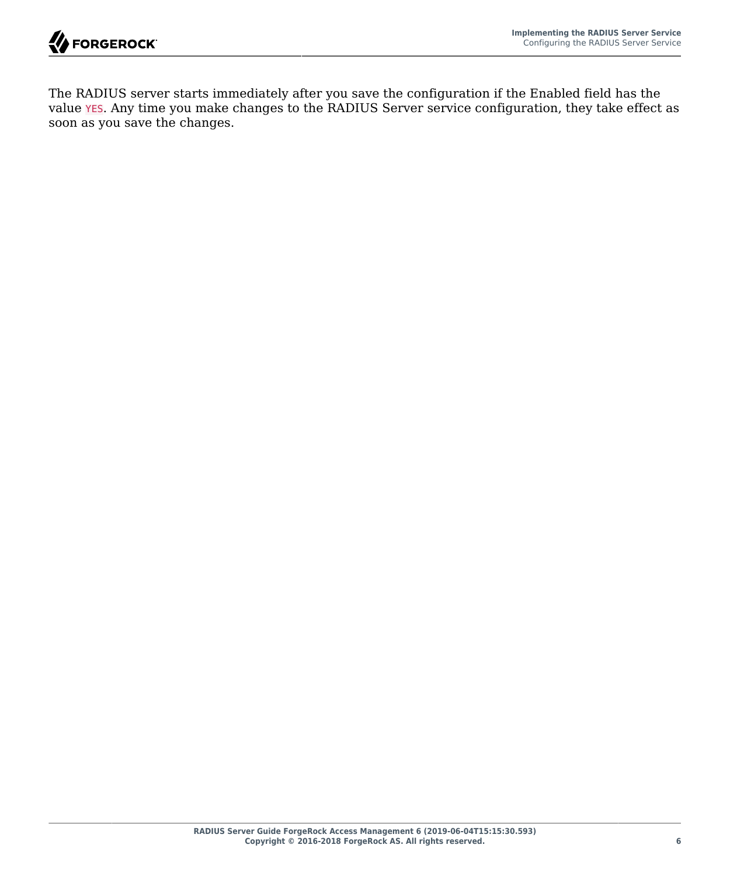The RADIUS server starts immediately after you save the configuration if the Enabled field has the value YES. Any time you make changes to the RADIUS Server service configuration, they take effect as soon as you save the changes.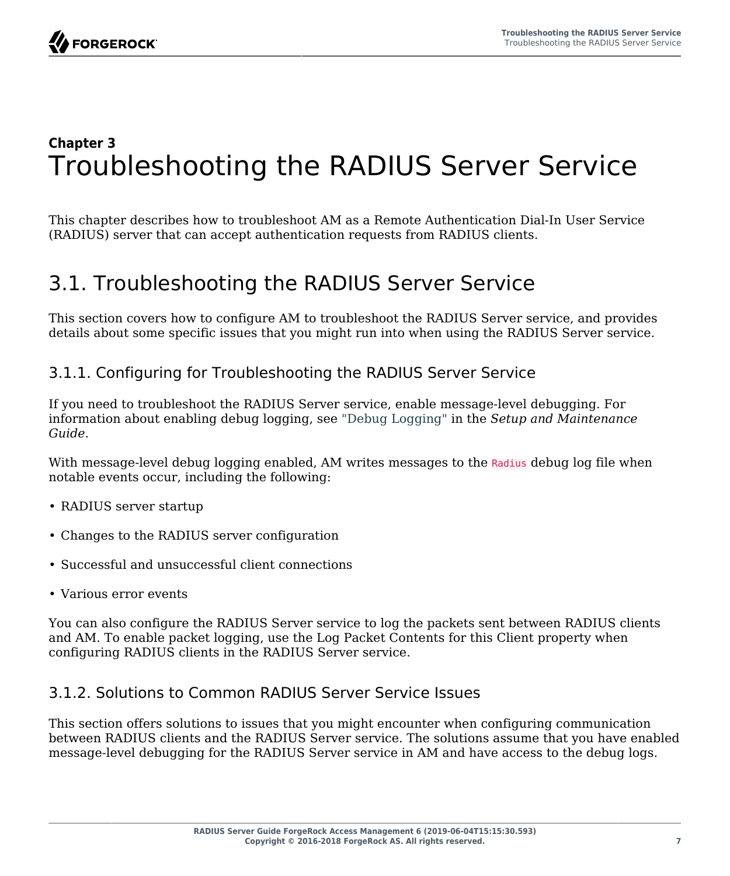## <span id="page-10-0"></span>**Chapter 3** Troubleshooting the RADIUS Server Service

This chapter describes how to troubleshoot AM as a Remote Authentication Dial-In User Service (RADIUS) server that can accept authentication requests from RADIUS clients.

## <span id="page-10-1"></span>3.1. Troubleshooting the RADIUS Server Service

This section covers how to configure AM to troubleshoot the RADIUS Server service, and provides details about some specific issues that you might run into when using the RADIUS Server service.

### 3.1.1. Configuring for Troubleshooting the RADIUS Server Service

If you need to troubleshoot the RADIUS Server service, enable message-level debugging. For information about enabling debug logging, see "Debug Logging" in the *Setup and Maintenance Guide*.

With message-level debug logging enabled, AM writes messages to the Radius debug log file when notable events occur, including the following:

- RADIUS server startup
- Changes to the RADIUS server configuration
- Successful and unsuccessful client connections
- Various error events

You can also configure the RADIUS Server service to log the packets sent between RADIUS clients and AM. To enable packet logging, use the Log Packet Contents for this Client property when configuring RADIUS clients in the RADIUS Server service.

### 3.1.2. Solutions to Common RADIUS Server Service Issues

This section offers solutions to issues that you might encounter when configuring communication between RADIUS clients and the RADIUS Server service. The solutions assume that you have enabled message-level debugging for the RADIUS Server service in AM and have access to the debug logs.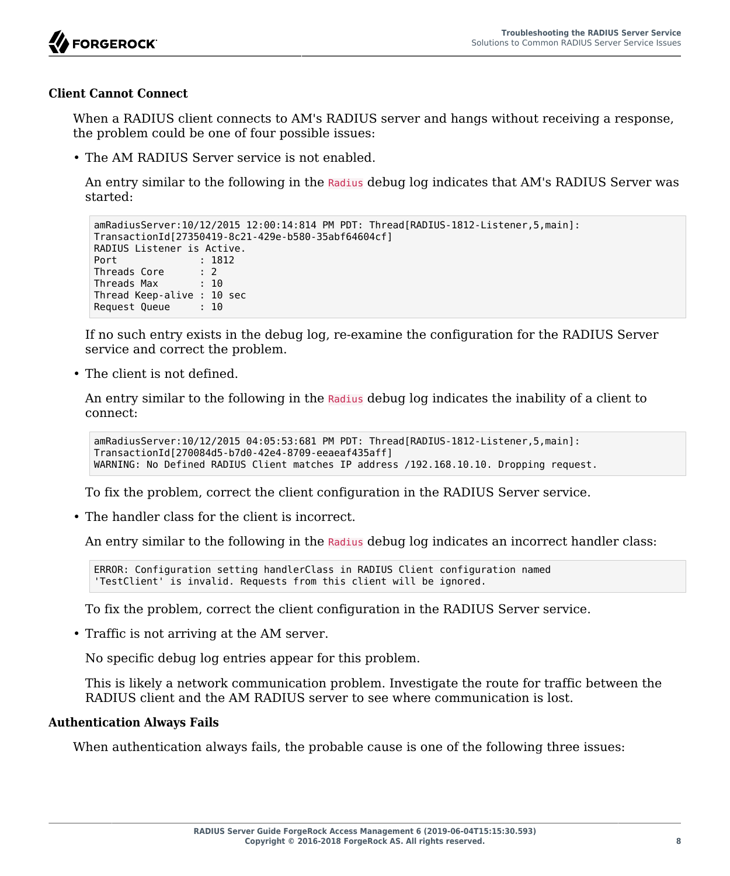

### **Client Cannot Connect**

When a RADIUS client connects to AM's RADIUS server and hangs without receiving a response, the problem could be one of four possible issues:

• The AM RADIUS Server service is not enabled.

An entry similar to the following in the Radius debug log indicates that AM's RADIUS Server was started:

```
amRadiusServer:10/12/2015 12:00:14:814 PM PDT: Thread[RADIUS-1812-Listener,5,main]:
TransactionId[27350419-8c21-429e-b580-35abf64604cf]
RADIUS Listener is Active.
Port : 1812
Threads Core : 2<br>Threads Max : 10
Threads Max
Thread Keep-alive : 10 sec
Request Queue
```
If no such entry exists in the debug log, re-examine the configuration for the RADIUS Server service and correct the problem.

• The client is not defined.

An entry similar to the following in the Radius debug log indicates the inability of a client to connect:

amRadiusServer:10/12/2015 04:05:53:681 PM PDT: Thread[RADIUS-1812-Listener,5,main]: TransactionId[270084d5-b7d0-42e4-8709-eeaeaf435aff] WARNING: No Defined RADIUS Client matches IP address /192.168.10.10. Dropping request.

To fix the problem, correct the client configuration in the RADIUS Server service.

• The handler class for the client is incorrect.

An entry similar to the following in the Radius debug log indicates an incorrect handler class:

ERROR: Configuration setting handlerClass in RADIUS Client configuration named 'TestClient' is invalid. Requests from this client will be ignored.

To fix the problem, correct the client configuration in the RADIUS Server service.

• Traffic is not arriving at the AM server.

No specific debug log entries appear for this problem.

This is likely a network communication problem. Investigate the route for traffic between the RADIUS client and the AM RADIUS server to see where communication is lost.

#### **Authentication Always Fails**

When authentication always fails, the probable cause is one of the following three issues: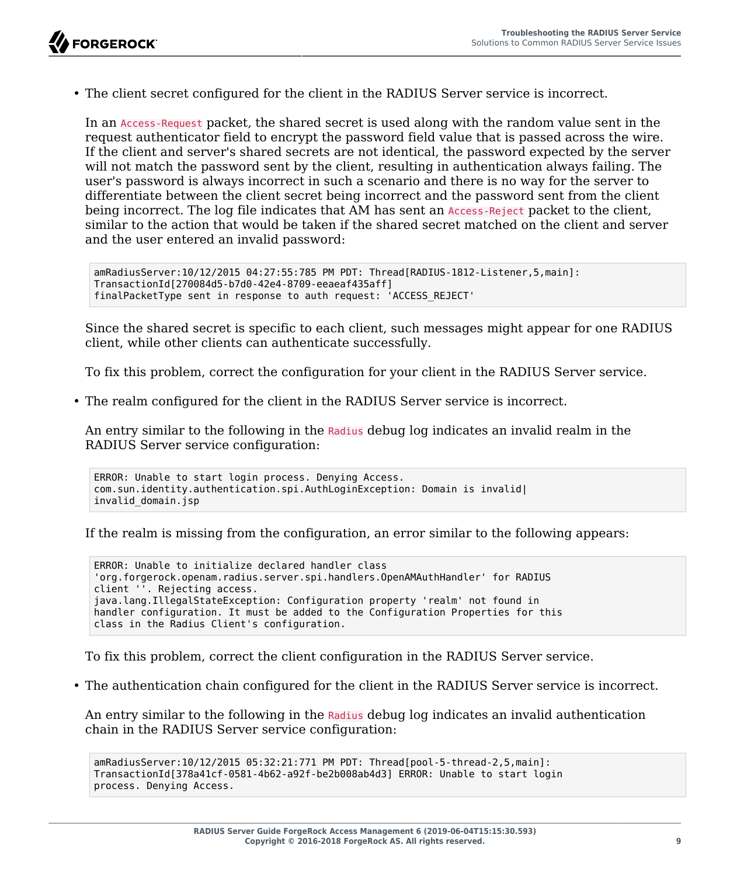• The client secret configured for the client in the RADIUS Server service is incorrect.

In an Access-Request packet, the shared secret is used along with the random value sent in the request authenticator field to encrypt the password field value that is passed across the wire. If the client and server's shared secrets are not identical, the password expected by the server will not match the password sent by the client, resulting in authentication always failing. The user's password is always incorrect in such a scenario and there is no way for the server to differentiate between the client secret being incorrect and the password sent from the client being incorrect. The log file indicates that AM has sent an Access-Reject packet to the client, similar to the action that would be taken if the shared secret matched on the client and server and the user entered an invalid password:

```
amRadiusServer:10/12/2015 04:27:55:785 PM PDT: Thread[RADIUS-1812-Listener,5,main]:
TransactionId[270084d5-b7d0-42e4-8709-eeaeaf435aff]
finalPacketType sent in response to auth request: 'ACCESS_REJECT'
```
Since the shared secret is specific to each client, such messages might appear for one RADIUS client, while other clients can authenticate successfully.

To fix this problem, correct the configuration for your client in the RADIUS Server service.

• The realm configured for the client in the RADIUS Server service is incorrect.

An entry similar to the following in the Radius debug log indicates an invalid realm in the RADIUS Server service configuration:

```
ERROR: Unable to start login process. Denying Access.
com.sun.identity.authentication.spi.AuthLoginException: Domain is invalid|
invalid_domain.jsp
```
If the realm is missing from the configuration, an error similar to the following appears:

```
ERROR: Unable to initialize declared handler class
'org.forgerock.openam.radius.server.spi.handlers.OpenAMAuthHandler' for RADIUS
client ''. Rejecting access.
java.lang.IllegalStateException: Configuration property 'realm' not found in
handler configuration. It must be added to the Configuration Properties for this
class in the Radius Client's configuration.
```
To fix this problem, correct the client configuration in the RADIUS Server service.

• The authentication chain configured for the client in the RADIUS Server service is incorrect.

An entry similar to the following in the Radius debug log indicates an invalid authentication chain in the RADIUS Server service configuration:

```
amRadiusServer:10/12/2015 05:32:21:771 PM PDT: Thread[pool-5-thread-2,5,main]:
TransactionId[378a41cf-0581-4b62-a92f-be2b008ab4d3] ERROR: Unable to start login
process. Denying Access.
```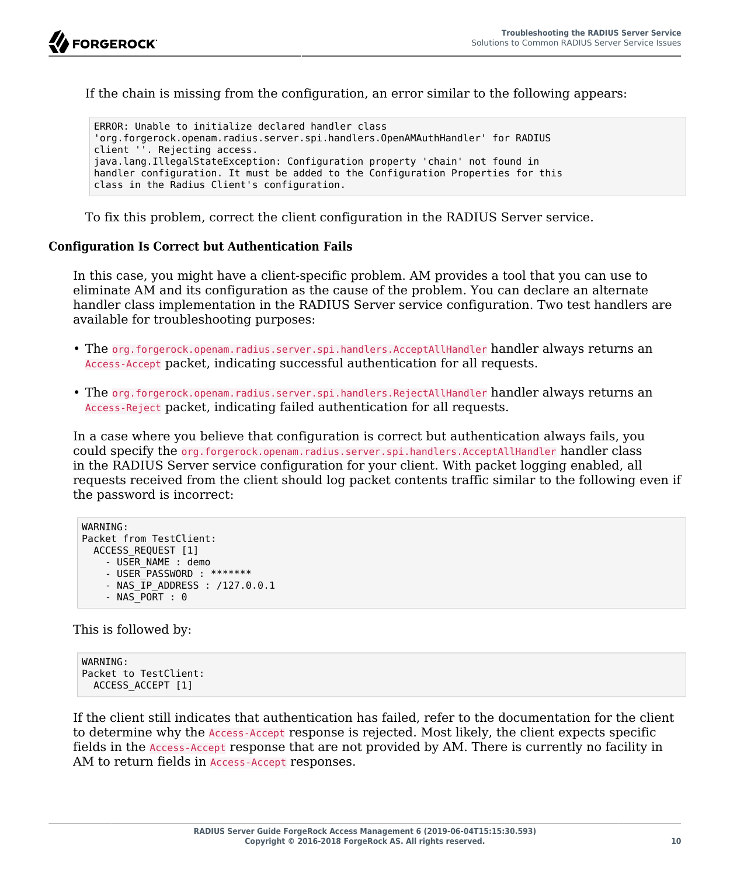If the chain is missing from the configuration, an error similar to the following appears:

ERROR: Unable to initialize declared handler class 'org.forgerock.openam.radius.server.spi.handlers.OpenAMAuthHandler' for RADIUS client ''. Rejecting access. java.lang.IllegalStateException: Configuration property 'chain' not found in handler configuration. It must be added to the Configuration Properties for this class in the Radius Client's configuration.

To fix this problem, correct the client configuration in the RADIUS Server service.

#### **Configuration Is Correct but Authentication Fails**

In this case, you might have a client-specific problem. AM provides a tool that you can use to eliminate AM and its configuration as the cause of the problem. You can declare an alternate handler class implementation in the RADIUS Server service configuration. Two test handlers are available for troubleshooting purposes:

- The org.forgerock.openam.radius.server.spi.handlers.AcceptAllHandler handler always returns an Access-Accept packet, indicating successful authentication for all requests.
- The org.forgerock.openam.radius.server.spi.handlers.RejectAllHandler handler always returns an Access-Reject packet, indicating failed authentication for all requests.

In a case where you believe that configuration is correct but authentication always fails, you could specify the org.forgerock.openam.radius.server.spi.handlers.AcceptAllHandler handler class in the RADIUS Server service configuration for your client. With packet logging enabled, all requests received from the client should log packet contents traffic similar to the following even if the password is incorrect:

```
WARNING:
Packet from TestClient:
   ACCESS_REQUEST [1]
    - USER NAME : demo
    - USER_PASSWORD : *******
    - NAS IP ADDRESS : /127.0.0.1
    - NAS PO\overline{RT} : 0
```
This is followed by:

WARNING: Packet to TestClient: ACCESS\_ACCEPT [1]

If the client still indicates that authentication has failed, refer to the documentation for the client to determine why the Access-Accept response is rejected. Most likely, the client expects specific fields in the Access-Accept response that are not provided by AM. There is currently no facility in AM to return fields in Access-Accept responses.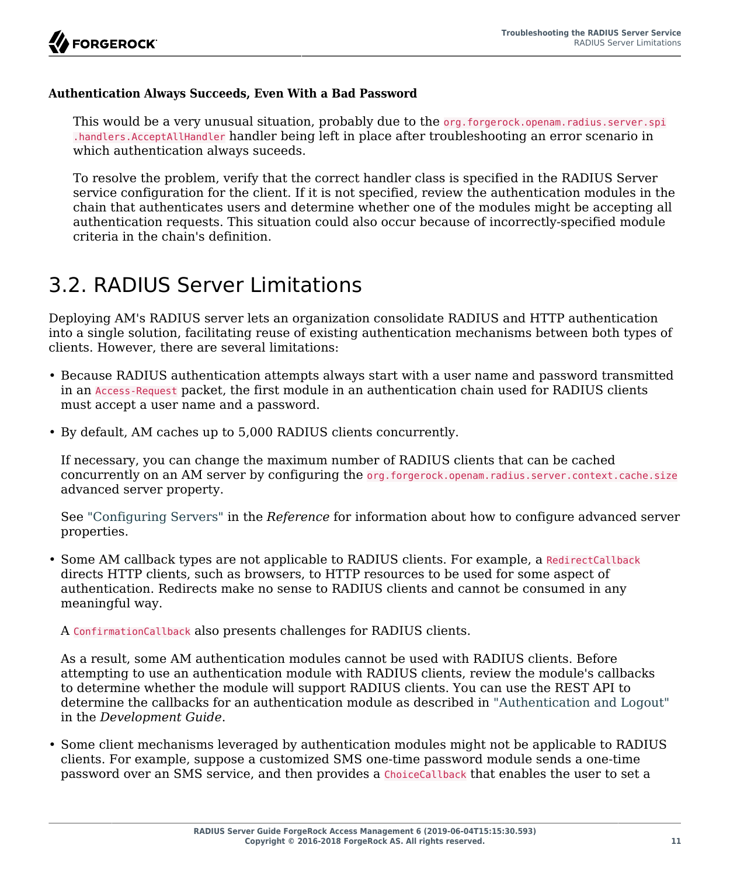### **Authentication Always Succeeds, Even With a Bad Password**

This would be a very unusual situation, probably due to the org.forgerock.openam.radius.server.spi .handlers.AcceptAllHandler handler being left in place after troubleshooting an error scenario in which authentication always suceeds.

To resolve the problem, verify that the correct handler class is specified in the RADIUS Server service configuration for the client. If it is not specified, review the authentication modules in the chain that authenticates users and determine whether one of the modules might be accepting all authentication requests. This situation could also occur because of incorrectly-specified module criteria in the chain's definition.

# <span id="page-14-0"></span>3.2. RADIUS Server Limitations

Deploying AM's RADIUS server lets an organization consolidate RADIUS and HTTP authentication into a single solution, facilitating reuse of existing authentication mechanisms between both types of clients. However, there are several limitations:

- Because RADIUS authentication attempts always start with a user name and password transmitted in an Access-Request packet, the first module in an authentication chain used for RADIUS clients must accept a user name and a password.
- By default, AM caches up to 5,000 RADIUS clients concurrently.

If necessary, you can change the maximum number of RADIUS clients that can be cached concurrently on an AM server by configuring the org.forgerock.openam.radius.server.context.cache.size advanced server property.

See "Configuring Servers" in the *Reference* for information about how to configure advanced server properties.

• Some AM callback types are not applicable to RADIUS clients. For example, a RedirectCallback directs HTTP clients, such as browsers, to HTTP resources to be used for some aspect of authentication. Redirects make no sense to RADIUS clients and cannot be consumed in any meaningful way.

A ConfirmationCallback also presents challenges for RADIUS clients.

As a result, some AM authentication modules cannot be used with RADIUS clients. Before attempting to use an authentication module with RADIUS clients, review the module's callbacks to determine whether the module will support RADIUS clients. You can use the REST API to determine the callbacks for an authentication module as described in "Authentication and Logout" in the *Development Guide*.

• Some client mechanisms leveraged by authentication modules might not be applicable to RADIUS clients. For example, suppose a customized SMS one-time password module sends a one-time password over an SMS service, and then provides a ChoiceCallback that enables the user to set a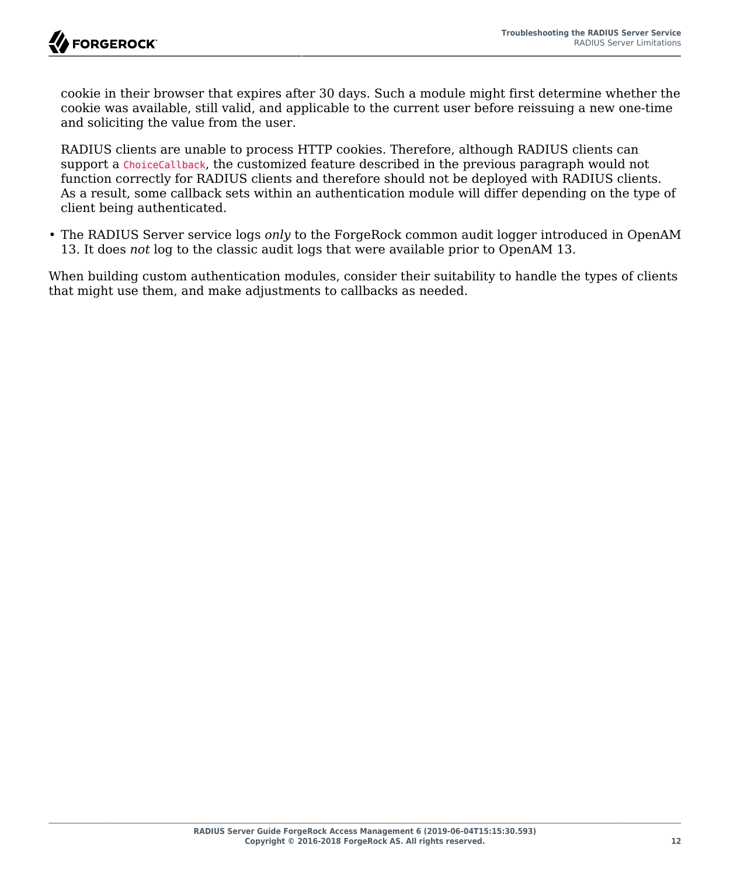

cookie in their browser that expires after 30 days. Such a module might first determine whether the cookie was available, still valid, and applicable to the current user before reissuing a new one-time and soliciting the value from the user.

RADIUS clients are unable to process HTTP cookies. Therefore, although RADIUS clients can support a ChoiceCallback, the customized feature described in the previous paragraph would not function correctly for RADIUS clients and therefore should not be deployed with RADIUS clients. As a result, some callback sets within an authentication module will differ depending on the type of client being authenticated.

• The RADIUS Server service logs *only* to the ForgeRock common audit logger introduced in OpenAM 13. It does *not* log to the classic audit logs that were available prior to OpenAM 13.

When building custom authentication modules, consider their suitability to handle the types of clients that might use them, and make adjustments to callbacks as needed.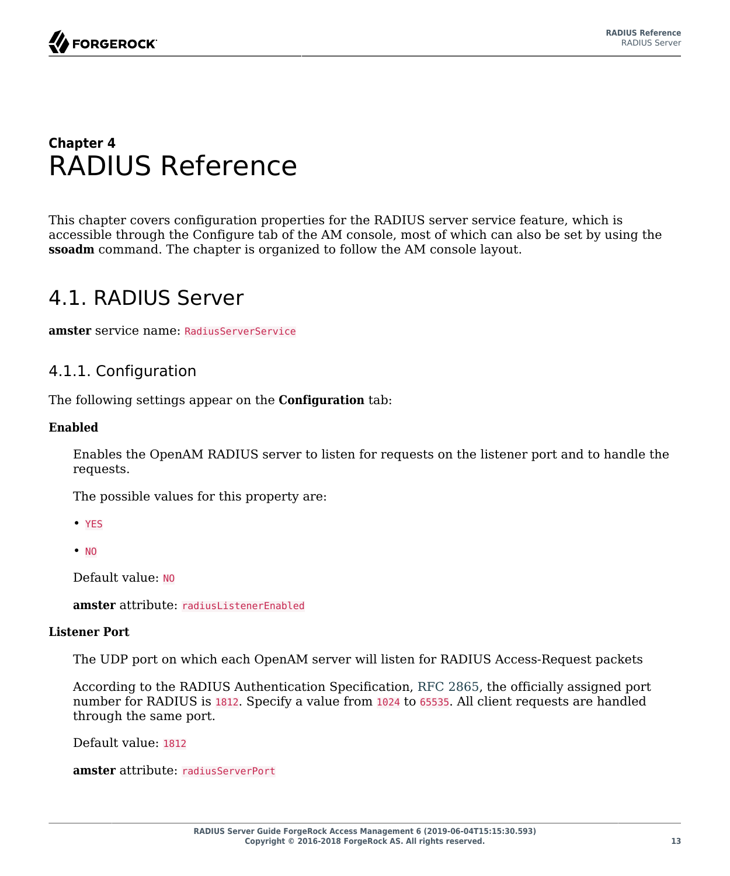### <span id="page-16-0"></span>**Chapter 4** RADIUS Reference

This chapter covers configuration properties for the RADIUS server service feature, which is accessible through the Configure tab of the AM console, most of which can also be set by using the **ssoadm** command. The chapter is organized to follow the AM console layout.

### <span id="page-16-1"></span>4.1. RADIUS Server

**amster** service name: RadiusServerService

### 4.1.1. Configuration

The following settings appear on the **Configuration** tab:

#### **Enabled**

Enables the OpenAM RADIUS server to listen for requests on the listener port and to handle the requests.

The possible values for this property are:

- YES
- $\bullet$  NO

Default value: NO

**amster** attribute: radiusListenerEnabled

#### **Listener Port**

The UDP port on which each OpenAM server will listen for RADIUS Access-Request packets

According to the RADIUS Authentication Specification, [RFC 2865](http://tools.ietf.org/html/rfc2865), the officially assigned port number for RADIUS is 1812. Specify a value from 1024 to 65535. All client requests are handled through the same port.

Default value: 1812

**amster** attribute: radiusServerPort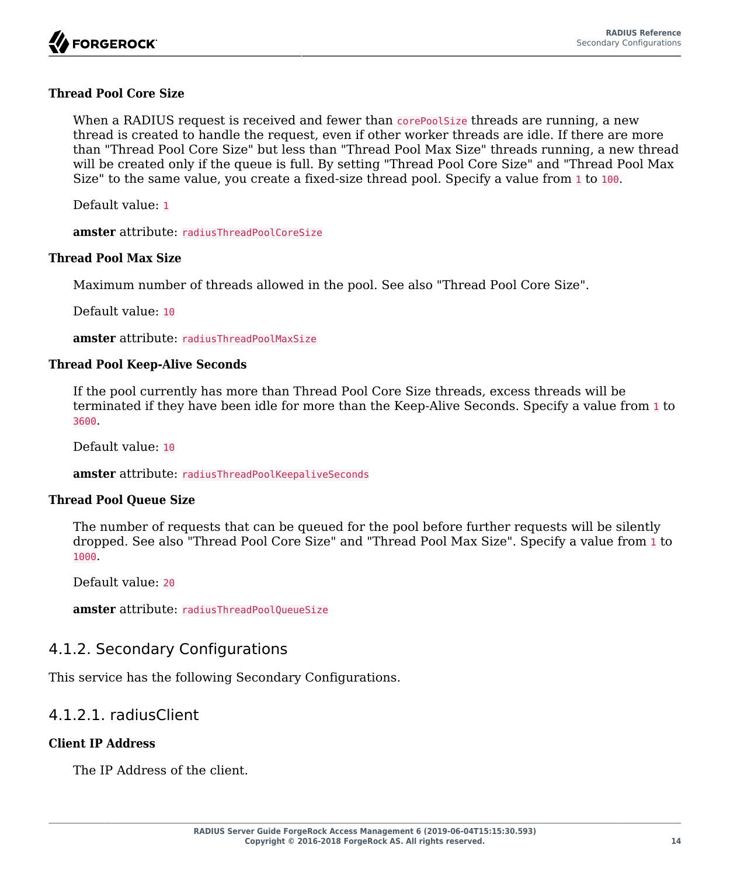### **Thread Pool Core Size**

When a RADIUS request is received and fewer than corePoolSize threads are running, a new thread is created to handle the request, even if other worker threads are idle. If there are more than "Thread Pool Core Size" but less than "Thread Pool Max Size" threads running, a new thread will be created only if the queue is full. By setting "Thread Pool Core Size" and "Thread Pool Max Size" to the same value, you create a fixed-size thread pool. Specify a value from 1 to 100.

Default value: 1

**amster** attribute: radiusThreadPoolCoreSize

#### **Thread Pool Max Size**

Maximum number of threads allowed in the pool. See also "Thread Pool Core Size".

Default value: 10

**amster** attribute: radiusThreadPoolMaxSize

#### **Thread Pool Keep-Alive Seconds**

If the pool currently has more than Thread Pool Core Size threads, excess threads will be terminated if they have been idle for more than the Keep-Alive Seconds. Specify a value from 1 to 3600.

Default value: 10

**amster** attribute: radiusThreadPoolKeepaliveSeconds

#### **Thread Pool Queue Size**

The number of requests that can be queued for the pool before further requests will be silently dropped. See also "Thread Pool Core Size" and "Thread Pool Max Size". Specify a value from 1 to 1000.

Default value: 20

**amster** attribute: radiusThreadPoolOueueSize

### 4.1.2. Secondary Configurations

This service has the following Secondary Configurations.

### 4.1.2.1. radiusClient

#### **Client IP Address**

The IP Address of the client.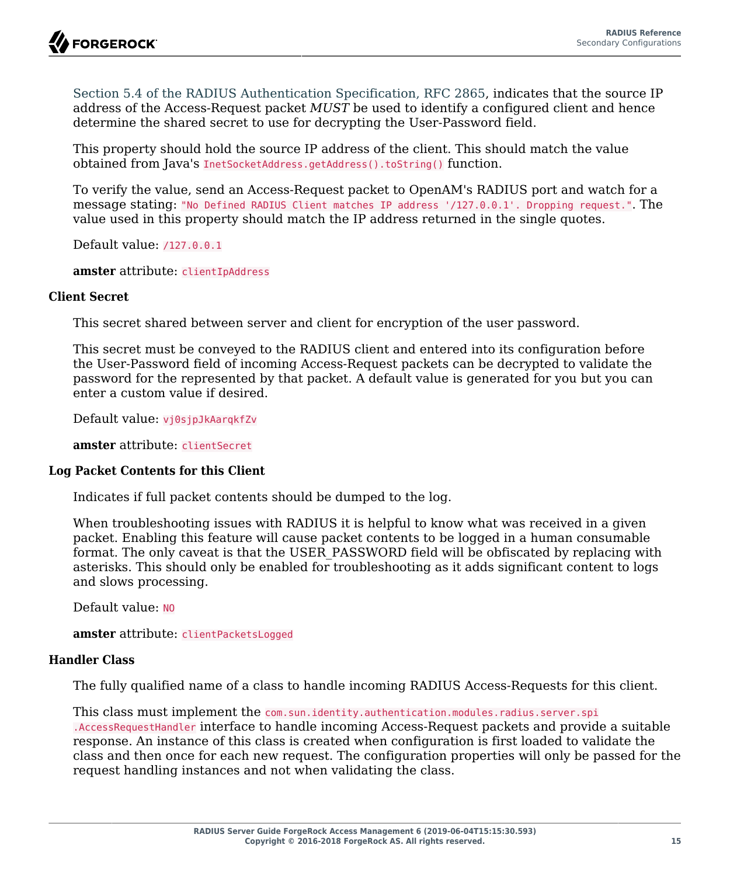[Section 5.4 of the RADIUS Authentication Specification, RFC 2865](http://tools.ietf.org/html/rfc2865#section-5.4), indicates that the source IP address of the Access-Request packet *MUST* be used to identify a configured client and hence determine the shared secret to use for decrypting the User-Password field.

This property should hold the source IP address of the client. This should match the value obtained from Java's InetSocketAddress.getAddress().toString() function.

To verify the value, send an Access-Request packet to OpenAM's RADIUS port and watch for a message stating: "No Defined RADIUS Client matches IP address '/127.0.0.1'. Dropping request.". The value used in this property should match the IP address returned in the single quotes.

Default value: /127.0.0.1

**amster** attribute: clientIpAddress

#### **Client Secret**

This secret shared between server and client for encryption of the user password.

This secret must be conveyed to the RADIUS client and entered into its configuration before the User-Password field of incoming Access-Request packets can be decrypted to validate the password for the represented by that packet. A default value is generated for you but you can enter a custom value if desired.

Default value: vj0sjpJkAarqkfZv

**amster** attribute: clientSecret

#### **Log Packet Contents for this Client**

Indicates if full packet contents should be dumped to the log.

When troubleshooting issues with RADIUS it is helpful to know what was received in a given packet. Enabling this feature will cause packet contents to be logged in a human consumable format. The only caveat is that the USER\_PASSWORD field will be obfiscated by replacing with asterisks. This should only be enabled for troubleshooting as it adds significant content to logs and slows processing.

Default value: NO

**amster** attribute: clientPacketsLogged

#### **Handler Class**

The fully qualified name of a class to handle incoming RADIUS Access-Requests for this client.

This class must implement the com.sun.identity.authentication.modules.radius.server.spi .AccessRequestHandler interface to handle incoming Access-Request packets and provide a suitable response. An instance of this class is created when configuration is first loaded to validate the class and then once for each new request. The configuration properties will only be passed for the request handling instances and not when validating the class.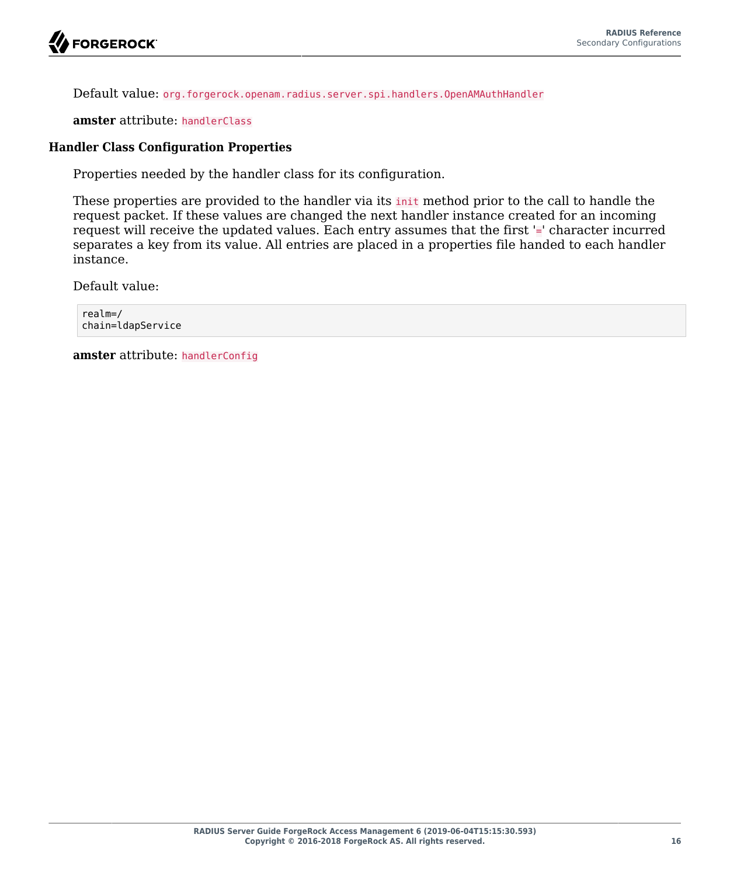

Default value: org.forgerock.openam.radius.server.spi.handlers.OpenAMAuthHandler

**amster** attribute: handlerClass

#### **Handler Class Configuration Properties**

Properties needed by the handler class for its configuration.

These properties are provided to the handler via its init method prior to the call to handle the request packet. If these values are changed the next handler instance created for an incoming request will receive the updated values. Each entry assumes that the first '=' character incurred separates a key from its value. All entries are placed in a properties file handed to each handler instance.

Default value:

realm=/ chain=ldapService

**amster** attribute: handlerConfig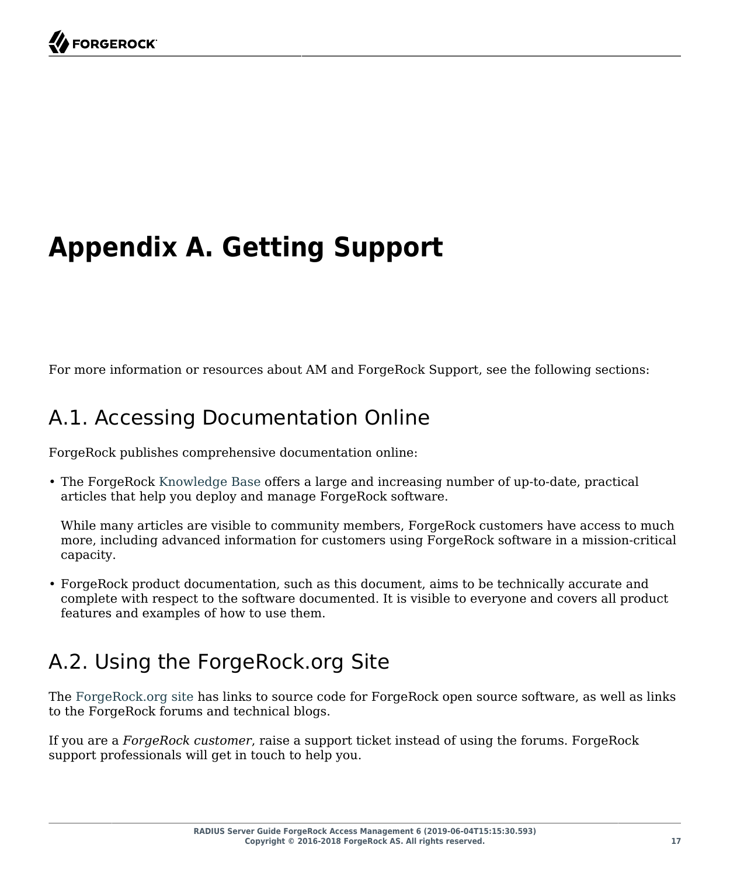# <span id="page-20-0"></span>**Appendix A. Getting Support**

<span id="page-20-1"></span>For more information or resources about AM and ForgeRock Support, see the following sections:

# A.1. Accessing Documentation Online

ForgeRock publishes comprehensive documentation online:

• The ForgeRock [Knowledge Base](https://backstage.forgerock.com/knowledge/kb) offers a large and increasing number of up-to-date, practical articles that help you deploy and manage ForgeRock software.

While many articles are visible to community members, ForgeRock customers have access to much more, including advanced information for customers using ForgeRock software in a mission-critical capacity.

• ForgeRock product documentation, such as this document, aims to be technically accurate and complete with respect to the software documented. It is visible to everyone and covers all product features and examples of how to use them.

# <span id="page-20-2"></span>A.2. Using the ForgeRock.org Site

The [ForgeRock.org site](https://forgerock.org) has links to source code for ForgeRock open source software, as well as links to the ForgeRock forums and technical blogs.

If you are a *ForgeRock customer*, raise a support ticket instead of using the forums. ForgeRock support professionals will get in touch to help you.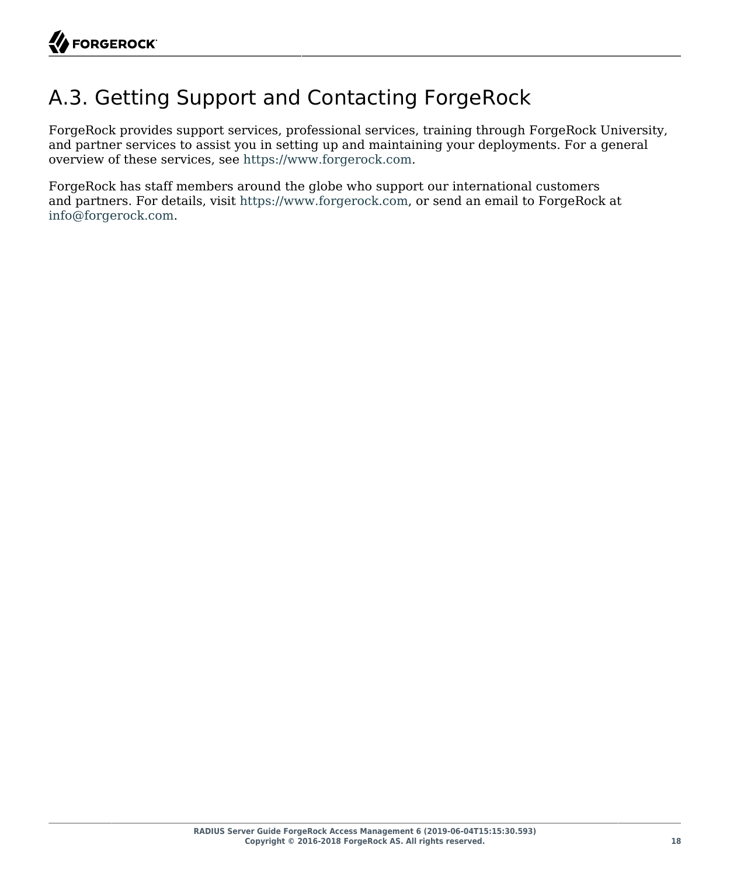# <span id="page-21-0"></span>A.3. Getting Support and Contacting ForgeRock

ForgeRock provides support services, professional services, training through ForgeRock University, and partner services to assist you in setting up and maintaining your deployments. For a general overview of these services, see [https://www.forgerock.com.](https://www.forgerock.com)

ForgeRock has staff members around the globe who support our international customers and partners. For details, visit [https://www.forgerock.com,](https://www.forgerock.com) or send an email to ForgeRock at [info@forgerock.com.](mailto:info@forgerock.com)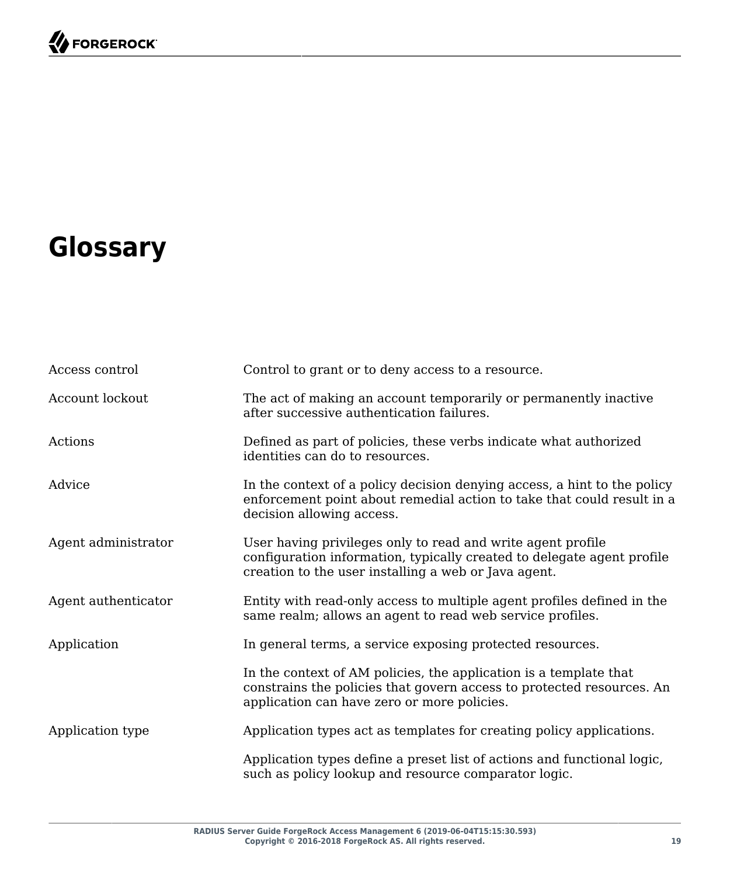# <span id="page-22-0"></span>**Glossary**

| Access control      | Control to grant or to deny access to a resource.                                                                                                                                             |
|---------------------|-----------------------------------------------------------------------------------------------------------------------------------------------------------------------------------------------|
| Account lockout     | The act of making an account temporarily or permanently inactive<br>after successive authentication failures.                                                                                 |
| Actions             | Defined as part of policies, these verbs indicate what authorized<br>identities can do to resources.                                                                                          |
| Advice              | In the context of a policy decision denying access, a hint to the policy<br>enforcement point about remedial action to take that could result in a<br>decision allowing access.               |
| Agent administrator | User having privileges only to read and write agent profile<br>configuration information, typically created to delegate agent profile<br>creation to the user installing a web or Java agent. |
| Agent authenticator | Entity with read-only access to multiple agent profiles defined in the<br>same realm; allows an agent to read web service profiles.                                                           |
| Application         | In general terms, a service exposing protected resources.                                                                                                                                     |
|                     | In the context of AM policies, the application is a template that<br>constrains the policies that govern access to protected resources. An<br>application can have zero or more policies.     |
| Application type    | Application types act as templates for creating policy applications.                                                                                                                          |
|                     | Application types define a preset list of actions and functional logic,<br>such as policy lookup and resource comparator logic.                                                               |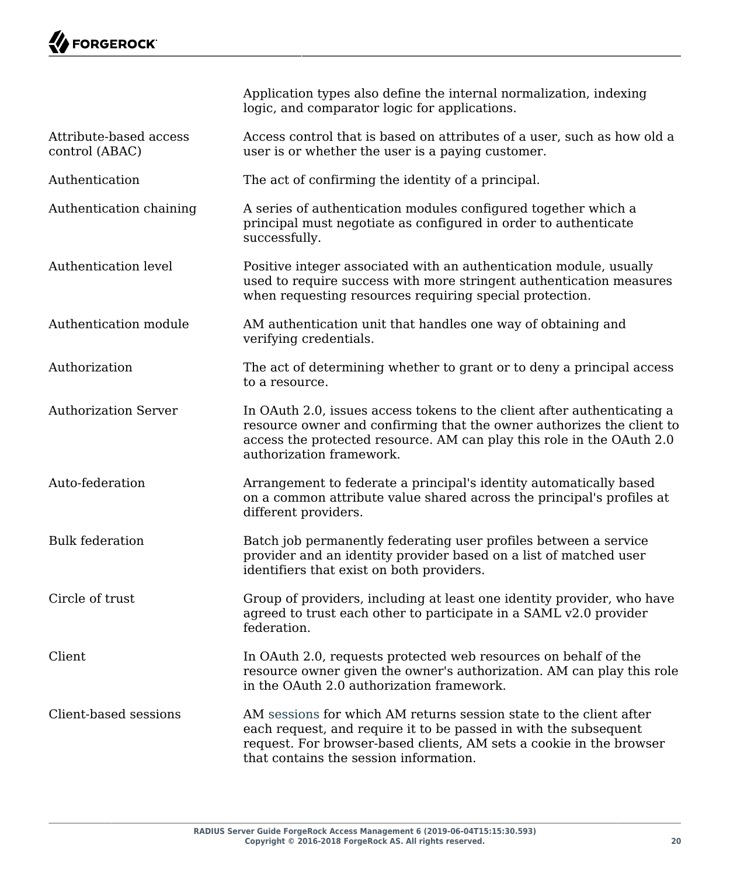

<span id="page-23-0"></span>

|                                          | Application types also define the internal normalization, indexing<br>logic, and comparator logic for applications.                                                                                                                                     |
|------------------------------------------|---------------------------------------------------------------------------------------------------------------------------------------------------------------------------------------------------------------------------------------------------------|
| Attribute-based access<br>control (ABAC) | Access control that is based on attributes of a user, such as how old a<br>user is or whether the user is a paying customer.                                                                                                                            |
| Authentication                           | The act of confirming the identity of a principal.                                                                                                                                                                                                      |
| Authentication chaining                  | A series of authentication modules configured together which a<br>principal must negotiate as configured in order to authenticate<br>successfully.                                                                                                      |
| Authentication level                     | Positive integer associated with an authentication module, usually<br>used to require success with more stringent authentication measures<br>when requesting resources requiring special protection.                                                    |
| Authentication module                    | AM authentication unit that handles one way of obtaining and<br>verifying credentials.                                                                                                                                                                  |
| Authorization                            | The act of determining whether to grant or to deny a principal access<br>to a resource.                                                                                                                                                                 |
| <b>Authorization Server</b>              | In OAuth 2.0, issues access tokens to the client after authenticating a<br>resource owner and confirming that the owner authorizes the client to<br>access the protected resource. AM can play this role in the OAuth 2.0<br>authorization framework.   |
| Auto-federation                          | Arrangement to federate a principal's identity automatically based<br>on a common attribute value shared across the principal's profiles at<br>different providers.                                                                                     |
| <b>Bulk federation</b>                   | Batch job permanently federating user profiles between a service<br>provider and an identity provider based on a list of matched user<br>identifiers that exist on both providers.                                                                      |
| Circle of trust                          | Group of providers, including at least one identity provider, who have<br>agreed to trust each other to participate in a SAML v2.0 provider<br>federation.                                                                                              |
| Client                                   | In OAuth 2.0, requests protected web resources on behalf of the<br>resource owner given the owner's authorization. AM can play this role<br>in the OAuth 2.0 authorization framework.                                                                   |
| Client-based sessions                    | AM sessions for which AM returns session state to the client after<br>each request, and require it to be passed in with the subsequent<br>request. For browser-based clients, AM sets a cookie in the browser<br>that contains the session information. |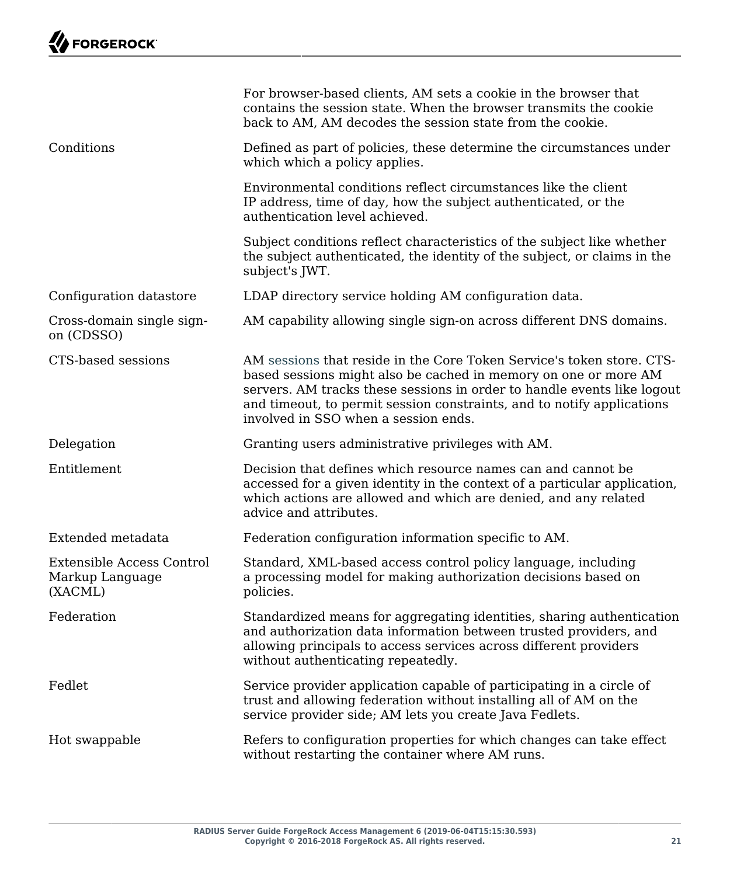<span id="page-24-0"></span>

|                                                                | For browser-based clients, AM sets a cookie in the browser that<br>contains the session state. When the browser transmits the cookie<br>back to AM. AM decodes the session state from the cookie.                                                                                                                                     |
|----------------------------------------------------------------|---------------------------------------------------------------------------------------------------------------------------------------------------------------------------------------------------------------------------------------------------------------------------------------------------------------------------------------|
| Conditions                                                     | Defined as part of policies, these determine the circumstances under<br>which which a policy applies.                                                                                                                                                                                                                                 |
|                                                                | Environmental conditions reflect circumstances like the client<br>IP address, time of day, how the subject authenticated, or the<br>authentication level achieved.                                                                                                                                                                    |
|                                                                | Subject conditions reflect characteristics of the subject like whether<br>the subject authenticated, the identity of the subject, or claims in the<br>subject's JWT.                                                                                                                                                                  |
| Configuration datastore                                        | LDAP directory service holding AM configuration data.                                                                                                                                                                                                                                                                                 |
| Cross-domain single sign-<br>on (CDSSO)                        | AM capability allowing single sign-on across different DNS domains.                                                                                                                                                                                                                                                                   |
| CTS-based sessions                                             | AM sessions that reside in the Core Token Service's token store. CTS-<br>based sessions might also be cached in memory on one or more AM<br>servers. AM tracks these sessions in order to handle events like logout<br>and timeout, to permit session constraints, and to notify applications<br>involved in SSO when a session ends. |
| Delegation                                                     | Granting users administrative privileges with AM.                                                                                                                                                                                                                                                                                     |
| <b>Entitlement</b>                                             | Decision that defines which resource names can and cannot be<br>accessed for a given identity in the context of a particular application,                                                                                                                                                                                             |
|                                                                | which actions are allowed and which are denied, and any related<br>advice and attributes.                                                                                                                                                                                                                                             |
| Extended metadata                                              | Federation configuration information specific to AM.                                                                                                                                                                                                                                                                                  |
| <b>Extensible Access Control</b><br>Markup Language<br>(XACML) | Standard, XML-based access control policy language, including<br>a processing model for making authorization decisions based on<br>policies.                                                                                                                                                                                          |
| Federation                                                     | Standardized means for aggregating identities, sharing authentication<br>and authorization data information between trusted providers, and<br>allowing principals to access services across different providers<br>without authenticating repeatedly.                                                                                 |
| Fedlet                                                         | Service provider application capable of participating in a circle of<br>trust and allowing federation without installing all of AM on the<br>service provider side; AM lets you create Java Fedlets.                                                                                                                                  |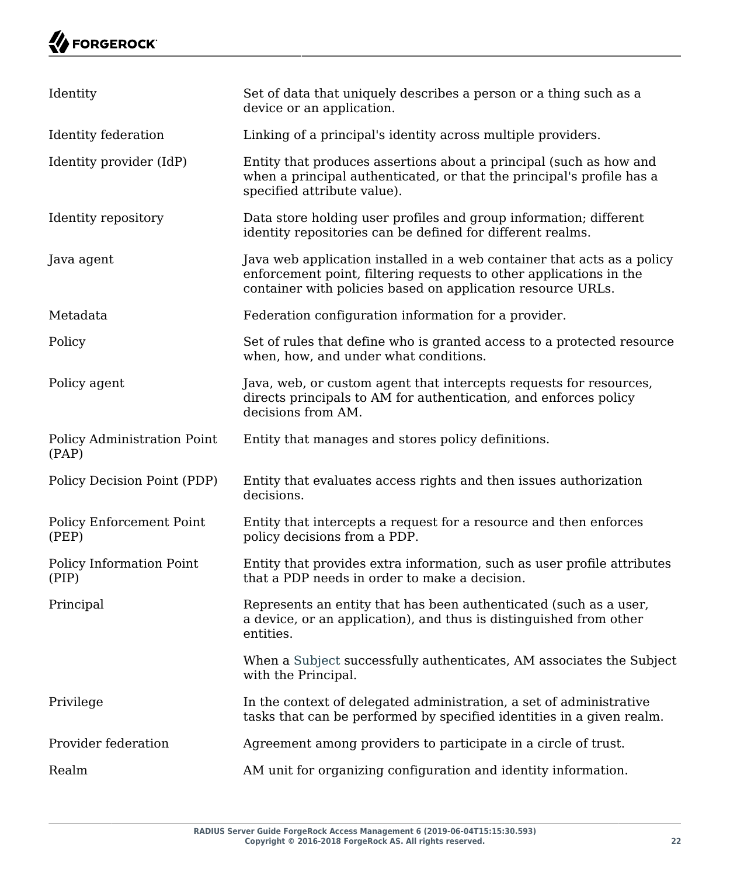# **W** FORGEROCK

<span id="page-25-0"></span>

| Identity                                 | Set of data that uniquely describes a person or a thing such as a<br>device or an application.                                                                                                               |
|------------------------------------------|--------------------------------------------------------------------------------------------------------------------------------------------------------------------------------------------------------------|
| <b>Identity</b> federation               | Linking of a principal's identity across multiple providers.                                                                                                                                                 |
| Identity provider (IdP)                  | Entity that produces assertions about a principal (such as how and<br>when a principal authenticated, or that the principal's profile has a<br>specified attribute value).                                   |
| Identity repository                      | Data store holding user profiles and group information; different<br>identity repositories can be defined for different realms.                                                                              |
| Java agent                               | Java web application installed in a web container that acts as a policy<br>enforcement point, filtering requests to other applications in the<br>container with policies based on application resource URLs. |
| Metadata                                 | Federation configuration information for a provider.                                                                                                                                                         |
| Policy                                   | Set of rules that define who is granted access to a protected resource<br>when, how, and under what conditions.                                                                                              |
| Policy agent                             | Java, web, or custom agent that intercepts requests for resources,<br>directs principals to AM for authentication, and enforces policy<br>decisions from AM.                                                 |
| Policy Administration Point<br>(PAP)     | Entity that manages and stores policy definitions.                                                                                                                                                           |
| Policy Decision Point (PDP)              | Entity that evaluates access rights and then issues authorization<br>decisions.                                                                                                                              |
| <b>Policy Enforcement Point</b><br>(PEP) | Entity that intercepts a request for a resource and then enforces<br>policy decisions from a PDP.                                                                                                            |
| Policy Information Point<br>(PIP)        | Entity that provides extra information, such as user profile attributes<br>that a PDP needs in order to make a decision.                                                                                     |
| Principal                                | Represents an entity that has been authenticated (such as a user,<br>a device, or an application), and thus is distinguished from other<br>entities.                                                         |
|                                          | When a Subject successfully authenticates, AM associates the Subject<br>with the Principal.                                                                                                                  |
| Privilege                                | In the context of delegated administration, a set of administrative<br>tasks that can be performed by specified identities in a given realm.                                                                 |
| Provider federation                      | Agreement among providers to participate in a circle of trust.                                                                                                                                               |
| Realm                                    | AM unit for organizing configuration and identity information.                                                                                                                                               |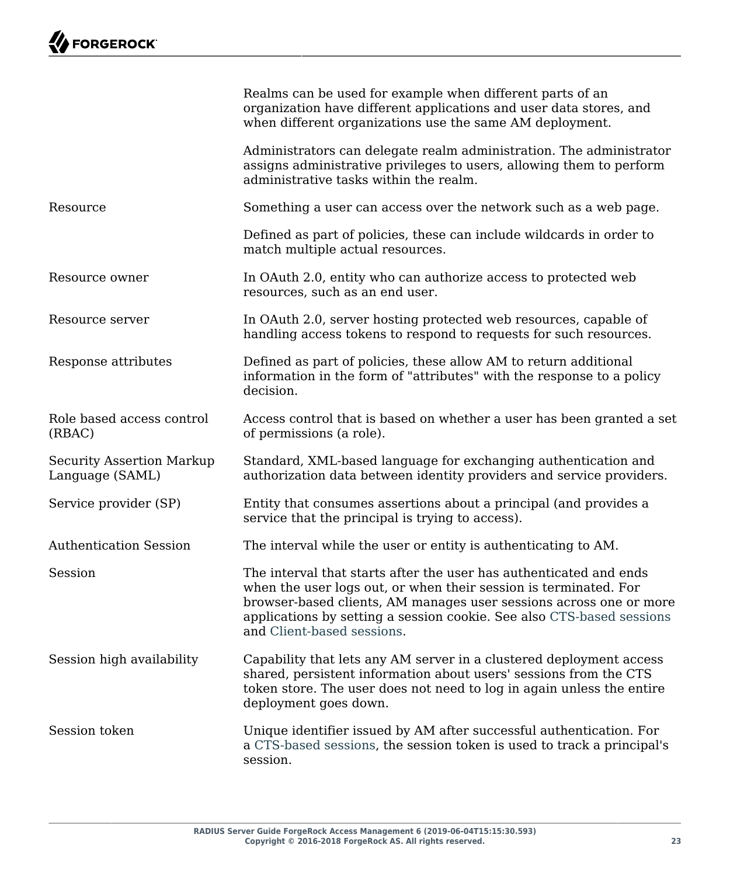<span id="page-26-0"></span>

|                                                     | Realms can be used for example when different parts of an<br>organization have different applications and user data stores, and<br>when different organizations use the same AM deployment.                                                                                                                         |
|-----------------------------------------------------|---------------------------------------------------------------------------------------------------------------------------------------------------------------------------------------------------------------------------------------------------------------------------------------------------------------------|
|                                                     | Administrators can delegate realm administration. The administrator<br>assigns administrative privileges to users, allowing them to perform<br>administrative tasks within the realm.                                                                                                                               |
| Resource                                            | Something a user can access over the network such as a web page.                                                                                                                                                                                                                                                    |
|                                                     | Defined as part of policies, these can include wildcards in order to<br>match multiple actual resources.                                                                                                                                                                                                            |
| Resource owner                                      | In OAuth 2.0, entity who can authorize access to protected web<br>resources, such as an end user.                                                                                                                                                                                                                   |
| Resource server                                     | In OAuth 2.0, server hosting protected web resources, capable of<br>handling access tokens to respond to requests for such resources.                                                                                                                                                                               |
| Response attributes                                 | Defined as part of policies, these allow AM to return additional<br>information in the form of "attributes" with the response to a policy<br>decision.                                                                                                                                                              |
| Role based access control<br>(RBAC)                 | Access control that is based on whether a user has been granted a set<br>of permissions (a role).                                                                                                                                                                                                                   |
| <b>Security Assertion Markup</b><br>Language (SAML) | Standard, XML-based language for exchanging authentication and<br>authorization data between identity providers and service providers.                                                                                                                                                                              |
| Service provider (SP)                               | Entity that consumes assertions about a principal (and provides a<br>service that the principal is trying to access).                                                                                                                                                                                               |
| <b>Authentication Session</b>                       | The interval while the user or entity is authenticating to AM.                                                                                                                                                                                                                                                      |
| Session                                             | The interval that starts after the user has authenticated and ends<br>when the user logs out, or when their session is terminated. For<br>browser-based clients, AM manages user sessions across one or more<br>applications by setting a session cookie. See also CTS-based sessions<br>and Client-based sessions. |
| Session high availability                           | Capability that lets any AM server in a clustered deployment access<br>shared, persistent information about users' sessions from the CTS<br>token store. The user does not need to log in again unless the entire<br>deployment goes down.                                                                          |
| Session token                                       | Unique identifier issued by AM after successful authentication. For<br>a CTS-based sessions, the session token is used to track a principal's<br>session.                                                                                                                                                           |